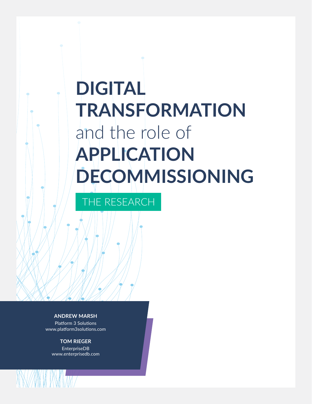# **DIGITAL TRANSFORMATION** and the role of **APPLICATION DECOMMISSIONING**

THE RESEARCH

**ANDREW MARSH** Platform 3 Solutions www.platform3solutions.com

**TOM RIEGER** EnterpriseDB www.enterprisedb.com

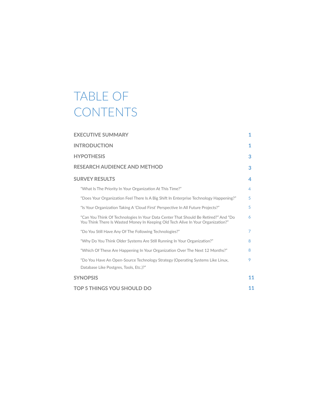## TABLE OF **CONTENTS**

| <b>EXECUTIVE SUMMARY</b>                                                                                                                                                | 1  |
|-------------------------------------------------------------------------------------------------------------------------------------------------------------------------|----|
| <b>INTRODUCTION</b>                                                                                                                                                     | 1  |
| <b>HYPOTHESIS</b>                                                                                                                                                       | 3  |
| <b>RESEARCH AUDIENCE AND METHOD</b>                                                                                                                                     | 3  |
| <b>SURVEY RESULTS</b>                                                                                                                                                   | 4  |
| "What Is The Priority In Your Organization At This Time?"                                                                                                               | 4  |
| "Does Your Organization Feel There Is A Big Shift In Enterprise Technology Happening?"                                                                                  | 5  |
| "Is Your Organization Taking A 'Cloud First' Perspective In All Future Projects?"                                                                                       | 5  |
| "Can You Think Of Technologies In Your Data Center That Should Be Retired?" And "Do<br>You Think There Is Wasted Money In Keeping Old Tech Alive In Your Organization?" | 6  |
| "Do You Still Have Any Of The Following Technologies?"                                                                                                                  | 7  |
| "Why Do You Think Older Systems Are Still Running In Your Organization?"                                                                                                | 8  |
| "Which Of These Are Happening In Your Organization Over The Next 12 Months?"                                                                                            | 8  |
| "Do You Have An Open-Source Technology Strategy (Operating Systems Like Linux,<br>Database Like Postgres, Tools, Etc.)?"                                                | 9  |
| <b>SYNOPSIS</b>                                                                                                                                                         | 11 |
| <b>TOP 5 THINGS YOU SHOULD DO</b>                                                                                                                                       | 11 |
|                                                                                                                                                                         |    |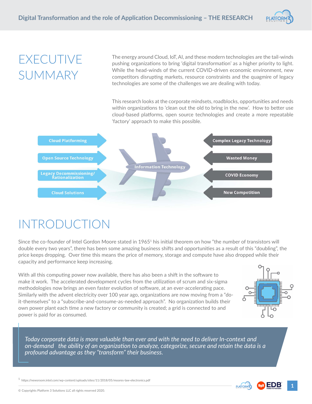

### EXECUTIVE SUMMARY

The energy around Cloud, IoT, AI, and these modern technologies are the tail-winds pushing organizations to bring 'digital transformation' as a higher priority to light. While the head-winds of the current COVID-driven economic environment, new competitors disrupting markets, resource constraints and the quagmire of legacy technologies are some of the challenges we are dealing with today.

This research looks at the corporate mindsets, roadblocks, opportunities and needs within organizations to 'clean out the old to bring in the new'. How to better use cloud-based platforms, open source technologies and create a more repeatable 'factory' approach to make this possible.



## INTRODUCTION

Since the co-founder of Intel Gordon Moore stated in 1965<sup>1</sup> his initial theorem on how "the number of transistors will double every two years", there has been some amazing business shifts and opportunities as a result of this "doubling", the price keeps dropping. Over time this means the price of memory, storage and compute have also dropped while their capacity and performance keep increasing.

With all this computing power now available, there has also been a shift in the software to make it work. The accelerated development cycles from the utilization of scrum and six-sigma methodologies now brings an even faster evolution of software, at an ever-accelerating pace. Similarly with the advent electricity over 100 year ago, organizations are now moving from a "doit-themselves" to a "subscribe-and-consume-as-needed approach". No organization builds their own power plant each time a new factory or community is created; a grid is connected to and power is paid for as consumed.



*Today corporate data is more valuable than ever and with the need to deliver In-context and on-demand the ability of an organization to analyze, categorize, secure and retain the data is a profound advantage as they "transform" their business.*

 $^{\rm 1}$  https://newsroom.intel.com/wp-content/uploads/sites/11/2018/05/moores-law-electronics.pdf



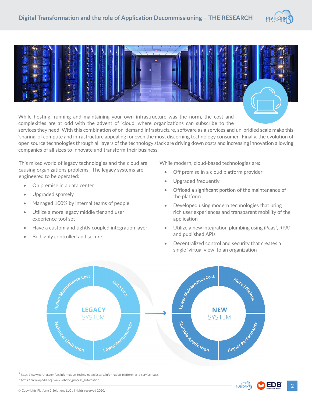



While hosting, running and maintaining your own infrastructure was the norm, the cost and complexities are at odd with the advent of 'cloud' where organizations can subscribe to the services they need. With this combination of on-demand infrastructure, software as a services and un-bridled scale make this 'sharing' of compute and infrastructure appealing for even the most discerning technology consumer. Finally, the evolution of open source technologies through all layers of the technology stack are driving down costs and increasing innovation allowing

companies of all sizes to innovate and transform their business.

This mixed world of legacy technologies and the cloud are causing organizations problems. The legacy systems are engineered to be operated:

- On premise in a data center
- Upgraded sparsely
- Managed 100% by internal teams of people
- Utilize a more legacy middle tier and user experience tool set
- Have a custom and tightly coupled integration layer
- Be highly controlled and secure

While modern, cloud-based technologies are:

- Off premise in a cloud platform provider
- Upgraded frequently
- Offload a significant portion of the maintenance of the platform
- Developed using modern technologies that bring rich user experiences and transparent mobility of the application
- Utilize a new integration plumbing using iPaas<sup>2</sup>, RPA<sup>3</sup> and published APIs
- Decentralized control and security that creates a single 'virtual view' to an organization



2 https://www.gartner.com/en/information-technology/glossary/information-platform-as-a-service-ipaas

 $3$  https://en.wikipedia.org/wiki/Robotic\_process\_automation

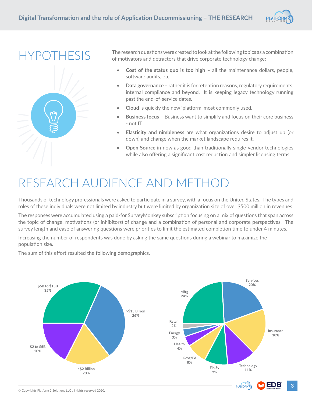

HYPOTHESIS



The research questions were created to look at the following topics as a combination of motivators and detractors that drive corporate technology change:

- **Cost of the status quo is too high** all the maintenance dollars, people, software audits, etc.
- **Data governance**  rather it is for retention reasons, regulatory requirements, internal compliance and beyond. It is keeping legacy technology running past the end-of-service dates.
- **Cloud** is quickly the new 'platform' most commonly used.
- **Business focus** Business want to simplify and focus on their core business - not IT
- **Elasticity and nimbleness** are what organizations desire to adjust up (or down) and change when the market landscape requires it.
- **Open Source** in now as good than traditionally single-vendor technologies while also offering a significant cost reduction and simpler licensing terms.

### RESEARCH AUDIENCE AND METHOD

Thousands of technology professionals were asked to participate in a survey, with a focus on the United States. The types and roles of these individuals were not limited by industry but were limited by organization size of over \$500 million in revenues.

The responses were accumulated using a paid-for SurveyMonkey subscription focusing on a mix of questions that span across the topic of change, motivations (or inhibitors) of change and a combination of personal and corporate perspectives. The survey length and ease of answering questions were priorities to limit the estimated completion time to under 4 minutes.

Increasing the number of respondents was done by asking the same questions during a webinar to maximize the population size.

The sum of this effort resulted the following demographics.

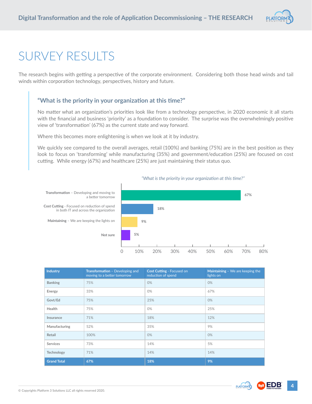

### SURVEY RESULTS

The research begins with getting a perspective of the corporate environment. Considering both those head winds and tail winds within corporation technology, perspectives, history and future.

#### **"What is the priority in your organization at this time?"**

No matter what an organization's priorities look like from a technology perspective, in 2020 economic it all starts with the financial and business 'priority' as a foundation to consider. The surprise was the overwhelmingly positive view of 'transformation' (67%) as the current state and way forward.

Where this becomes more enlightening is when we look at it by industry.

We quickly see compared to the overall averages, retail (100%) and banking (75%) are in the best position as they look to focus on 'transforming' while manufacturing (35%) and government/education (25%) are focused on cost cutting. While energy (67%) and healthcare (25%) are just maintaining their status quo.



 *"What is the priority in your organization at this time?"*

| <b>Industry</b>    | Transformation - Developing and<br>moving to a better tomorrow | Cost Cutting - Focused on<br>reduction of spend | Maintaining - We are keeping the<br>lights on |
|--------------------|----------------------------------------------------------------|-------------------------------------------------|-----------------------------------------------|
| <b>Banking</b>     | 75%                                                            | 0%                                              | 0%                                            |
| Energy             | 33%                                                            | 0%                                              | 67%                                           |
| Govt/Ed            | 75%                                                            | 25%                                             | 0%                                            |
| Health             | 75%                                                            | 0%                                              | 25%                                           |
| Insurance          | 71%                                                            | 18%                                             | 12%                                           |
| Manufacturing      | 52%                                                            | 35%                                             | 9%                                            |
| Retail             | 100%                                                           | 0%                                              | 0%                                            |
| <b>Services</b>    | 73%                                                            | 14%                                             | 5%                                            |
| Technology         | 71%                                                            | 14%                                             | 14%                                           |
| <b>Grand Total</b> | 67%                                                            | 18%                                             | 9%                                            |

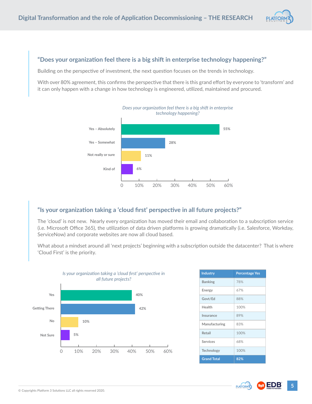

#### **"Does your organization feel there is a big shift in enterprise technology happening?"**

Building on the perspective of investment, the next question focuses on the trends in technology.

With over 80% agreement, this confirms the perspective that there is this grand effort by everyone to 'transform' and it can only happen with a change in how technology is engineered, utilized, maintained and procured.



#### **"Is your organization taking a 'cloud first' perspective in all future projects?"**

The 'cloud' is not new. Nearly every organization has moved their email and collaboration to a subscription service (i.e. Microsoft Office 365), the utilization of data driven platforms is growing dramatically (i.e. Salesforce, Workday, ServiceNow) and corporate websites are now all cloud based.

What about a mindset around all 'next projects' beginning with a subscription outside the datacenter? That is where 'Cloud First' is the priority.



| <b>Industry</b>    | <b>Percentage Yes</b> |
|--------------------|-----------------------|
| <b>Banking</b>     | 78%                   |
| Energy             | 67%                   |
| Govt/Ed            | 88%                   |
| Health             | 100%                  |
| Insurance          | 89%                   |
| Manufacturing      | 83%                   |
| Retail             | 100%                  |
| Services           | 68%                   |
| <b>Technology</b>  | 100%                  |
| <b>Grand Total</b> | 82%                   |

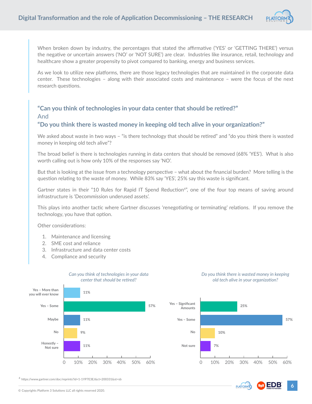

When broken down by industry, the percentages that stated the affirmative ('YES' or 'GETTING THERE') versus the negative or uncertain answers ('NO' or 'NOT SURE') are clear. Industries like insurance, retail, technology and healthcare show a greater propensity to pivot compared to banking, energy and business services.

As we look to utilize new platforms, there are those legacy technologies that are maintained in the corporate data center. These technologies – along with their associated costs and maintenance – were the focus of the next research questions.

#### **"Can you think of technologies in your data center that should be retired?"**  And

#### **"Do you think there is wasted money in keeping old tech alive in your organization?"**

We asked about waste in two ways - "is there technology that should be retired" and "do you think there is wasted money in keeping old tech alive"?

The broad belief is there is technologies running in data centers that should be removed (68% 'YES'). What is also worth calling out is how only 10% of the responses say 'NO'.

But that is looking at the issue from a technology perspective – what about the financial burden? More telling is the question relating to the waste of money. While 83% say 'YES', 25% say this waste is significant.

Gartner states in their "10 Rules for Rapid IT Spend Reduction<sup>4</sup>", one of the four top means of saving around infrastructure is 'Decommission underused assets'.

This plays into another tactic where Gartner discusses 'renegotiating or terminating' relations. If you remove the technology, you have that option.

Other considerations:

- 1. Maintenance and licensing
- 2. SME cost and reliance
- 3. Infrastructure and data center costs
- 4. Compliance and security



4 https://www.gartner.com/doc/reprints?id=1-1YP7E3EJ&ct=200331&st=sb

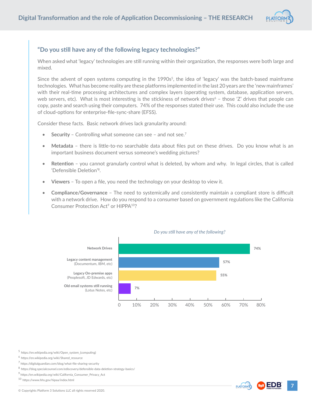

#### **"Do you still have any of the following legacy technologies?"**

When asked what 'legacy' technologies are still running within their organization, the responses were both large and mixed.

Since the advent of open systems computing in the 1990s<sup>5</sup>, the idea of 'legacy' was the batch-based mainframe technologies. What has become reality are these platforms implemented in the last 20 years are the 'new mainframes' with their real-time processing architectures and complex layers (operating system, database, application servers, web servers, etc). What is most interesting is the stickiness of network drives<sup>6</sup> – those 'Z' drives that people can copy, paste and search using their computers. 74% of the responses stated their use. This could also include the use of cloud-options for enterprise-file-sync-share (EFSS).

Consider these facts. Basic network drives lack granularity around:

- **Security** Controlling what someone can see and not see.<sup>7</sup>
- **Metadata**  there is little-to-no searchable data about files put on these drives. Do you know what is an important business document versus someone's wedding pictures?
- **Retention**  you cannot granularly control what is deleted, by whom and why. In legal circles, that is called 'Defensible Deletion'8.
- **Viewers**  To open a file, you need the technology on your desktop to view it.
- **Compliance/Governance**  The need to systemically and consistently maintain a compliant store is difficult with a network drive. How do you respond to a consumer based on government regulations like the California Consumer Protection Act<sup>9</sup> or HIPPA<sup>10</sup>?



#### *Do you still have any of the following?*

<sup>5</sup> https://en.wikipedia.org/wiki/Open\_system\_(computing)

 $^6$  https://en.wikipedia.org/wiki/Shared\_resource

<sup>7</sup> https://digitalguardian.com/blog/what-file-sharing-security

8 https://blog.specialcounsel.com/ediscovery/defensible-data-deletion-strategy-basics/

<sup>9</sup> https://en.wikipedia.org/wiki/California\_Consumer\_Privacy\_Act

10 https://www.hhs.gov/hipaa/index.html

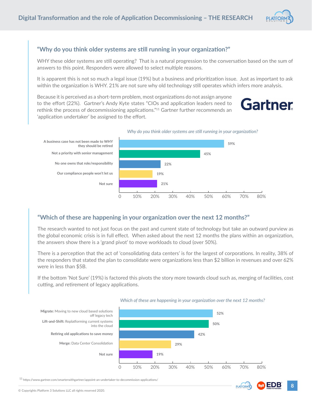

#### **"Why do you think older systems are still running in your organization?"**

WHY these older systems are still operating? That is a natural progression to the conversation based on the sum of answers to this point. Responders were allowed to select multiple reasons.

It is apparent this is not so much a legal issue (19%) but a business and prioritization issue. Just as important to ask within the organization is WHY. 21% are not sure why old technology still operates which infers more analysis.

Because it is perceived as a short-term problem, most organizations do not assign anyone to the effort (22%). Gartner's Andy Kyte states "CIOs and application leaders need to rethink the process of decommissioning applications."11 Gartner further recommends an 'application undertaker' be assigned to the effort.





#### **"Which of these are happening in your organization over the next 12 months?"**

The research wanted to not just focus on the past and current state of technology but take an outward purview as the global economic crisis is in full effect. When asked about the next 12 months the plans within an organization, the answers show there is a 'grand pivot' to move workloads to cloud (over 50%).

There is a perception that the act of 'consolidating data centers' is for the largest of corporations. In reality, 38% of the responders that stated the plan to consolidate were organizations less than \$2 billion in revenues and over 62% were in less than \$5B.

If the bottom 'Not Sure' (19%) is factored this pivots the story more towards cloud such as, merging of facilities, cost cutting, and retirement of legacy applications.



#### *Which of these are happening in your organization over the next 12 months?*

11 https://www.gartner.com/smarterwithgartner/appoint-an-undertaker-to-decommission-applications/

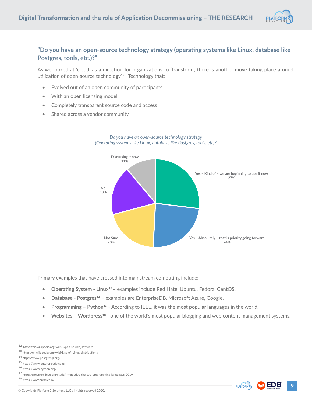

#### **"Do you have an open-source technology strategy (operating systems like Linux, database like Postgres, tools, etc.)?"**

As we looked at 'cloud' as a direction for organizations to 'transform', there is another move taking place around utilization of open-source technology<sup>12</sup>. Technology that;

- Evolved out of an open community of participants
- With an open licensing model
- Completely transparent source code and access
- Shared across a vendor community



#### *Do you have an open-source technology strategy (Operating systems like Linux, database like Postgres, tools, etc)?*

Primary examples that have crossed into mainstream computing include:

- **Operating System Linux<sup>13</sup>** examples include Red Hate, Ubuntu, Fedora, CentOS.
- **Database Postgres<sup>14</sup>** examples are EnterpriseDB, Microsoft Azure, Google.
- **Programming Python<sup>16</sup>** According to IEEE, it was the most popular languages in the world.
- **Websites Wordpress<sup>18</sup>** one of the world's most popular blogging and web content management systems.





<sup>12</sup> https://en.wikipedia.org/wiki/Open-source\_software

 $^{13}$ https://en.wikipedia.org/wiki/List\_of\_Linux\_distributions

<sup>14</sup> https://www.postgresql.org/

<sup>15</sup> https://www.enterprisedb.com/

<sup>16</sup> https://www.python.org/

 $^{17}$ https://spectrum.ieee.org/static/interactive-the-top-programming-languages-2019

<sup>18</sup> https://wordpress.com/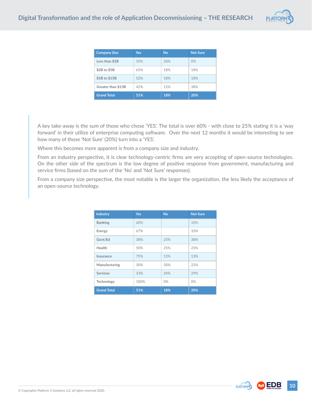

| <b>Company Size</b> | <b>Yes</b> | <b>No</b> | <b>Not Sure</b> |
|---------------------|------------|-----------|-----------------|
| Less than \$2B      | 50%        | 28%       | $0\%$           |
| \$2B to \$5B        | 65%        | 18%       | 18%             |
| \$5B to \$15B       | 52%        | 18%       | 18%             |
| Greater than \$15B  | 42%        | 12%       | 38%             |
| <b>Grand Total</b>  | 51%        | 18%       | 20%             |

A key take-away is the sum of those who chose 'YES'. The total is over 60% - with close to 25% stating it is a 'way forward' in their utilize of enterprise computing software. Over the next 12 months it would be interesting to see how many of those 'Not Sure' (20%) turn into a 'YES'.

Where this becomes more apparent is from a company size and industry.

From an industry perspective, it is clear technology-centric firms are very accepting of open-source technologies. On the other side of the spectrum is the low degree of positive response from government, manufacturing and service firms (based on the sum of the 'No' and 'Not Sure' responses).

From a company size perspective, the most notable is the larger the organization, the less likely the acceptance of an open-source technology.

| <b>Industry</b>    | <b>Yes</b> | <b>No</b> | <b>Not Sure</b> |
|--------------------|------------|-----------|-----------------|
| <b>Banking</b>     | 60%        |           | 10%             |
| Energy             | 67%        |           | 33%             |
| Govt/Ed            | 38%        | 25%       | 38%             |
| Health             | 50%        | 25%       | 25%             |
| Insurance          | 75%        | 13%       | 13%             |
| Manufacturing      | 30%        | 30%       | 22%             |
| <b>Services</b>    | 33%        | 24%       | 29%             |
| Technology         | 100%       | $0\%$     | $0\%$           |
| <b>Grand Total</b> | 51%        | 18%       | 20%             |





m EDB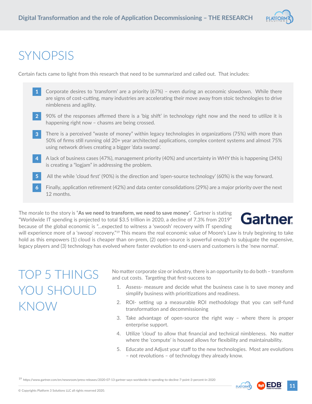

### SYNOPSIS

Certain facts came to light from this research that need to be summarized and called out. That includes:

- Corporate desires to 'transform' are a priority (67%) even during an economic slowdown. While there are signs of cost-cutting, many industries are accelerating their move away from stoic technologies to drive nimbleness and agility. 1
- 90% of the responses affirmed there is a 'big shift' in technology right now and the need to utilize it is happening right now – chasms are being crossed. 2
- There is a perceived "waste of money" within legacy technologies in organizations (75%) with more than 50% of firms still running old 20+ year architected applications, complex content systems and almost 75% using network drives creating a bigger 'data swamp'. 3
- A lack of business cases (47%), management priority (40%) and uncertainty in WHY this is happening (34%) is creating a "logjam" in addressing the problem. 4
- All the while 'cloud first' (90%) is the direction and 'open-source technology' (60%) is the way forward. 5
- Finally, application retirement (42%) and data center consolidations (29%) are a major priority over the next 12 months. 6

The morale to the story is "**As we need to transform, we need to save money**". Gartner is stating "Worldwide IT spending is projected to total \$3.5 trillion in 2020, a decline of 7.3% from 2019" because of the global economic is "…expected to witness a 'swoosh' recovery with IT spending



will experience more of a 'swoop' recovery."<sup>19</sup> This means the real economic value of Moore's Law is truly beginning to take hold as this empowers (1) cloud is cheaper than on-prem, (2) open-source is powerful enough to subjugate the expensive, legacy players and (3) technology has evolved where faster evolution to end-users and customers is the 'new normal'.

## TOP 5 THINGS YOU SHOULD KNOW

No matter corporate size or industry, there is an opportunity to do both – transform and cut costs. Targeting that first-success to

- 1. Assess- measure and decide what the business case is to save money and simplify business with prioritizations and readiness.
- 2. ROI- setting up a measurable ROI methodology that you can self-fund transformation and decommissioning
- 3. Take advantage of open-source the right way where there is proper enterprise support.
- 4. Utilize 'cloud' to allow that financial and technical nimbleness. No matter where the 'compute' is housed allows for flexibility and maintainability.
- 5. Educate and Adjust your staff to the new technologies. Most are evolutions – not revolutions – of technology they already know.

19 https://www.gartner.com/en/newsroom/press-releases/2020-07-13-gartner-says-worldwide-it-spending-to-decline-7-point-3-percent-in-2020